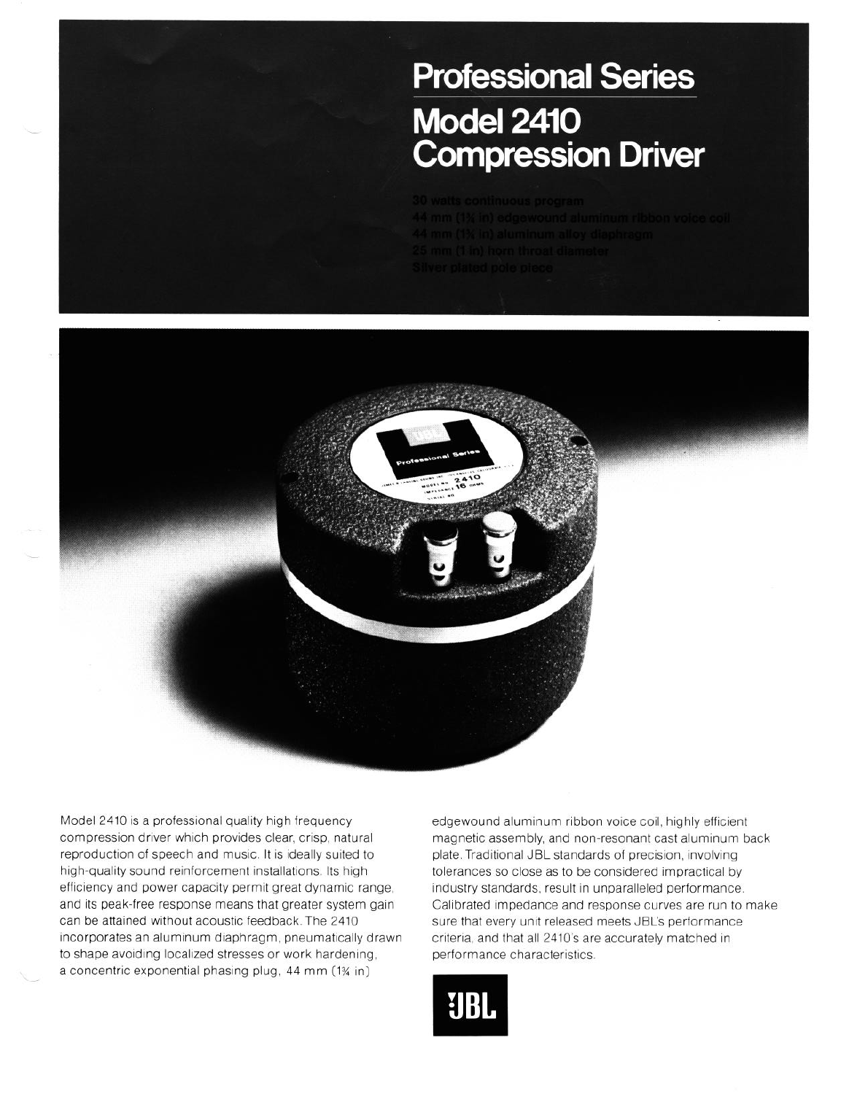## **Professional Series Model 2410 Compression Driver**

- 
- 
- 
- 



Model 2410 is a professional quality high frequency compression driver which provides clear, crisp, natural reproduction of speech and music. It is ideally suited to high-quality sound reinforcement installations. Its high efficiency and power capacity permit great dynamic range, and its peak-free response means that greater system gain can be attained without acoustic feedback. The 2410 incorporates an aluminum diaphragm, pneumatically drawn to shape avoiding localized stresses or work hardening, a concentric exponential phasing plug, 44 mm (1% in)

 $\overline{\phantom{a}}$ 

edgewound aluminum ribbon voice coil, highly efficient magnetic assembly, and non-resonant cast aluminum back plate. Traditional JBL standards of precision, involving tolerances so close as to be considered impractical by industry standards, result in unparalleled performance. Calibrated impedance and response curves are run to make sure that every unit released meets JBL's performance criteria, and that all 2410's are accurately matched in performance characteristics.